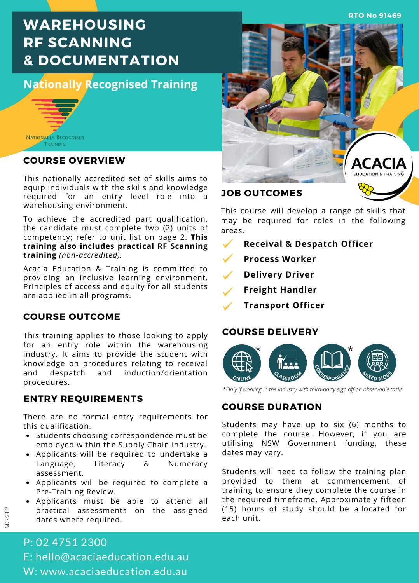**RTO No 91469**

# **WAREHOUSING RF SCANNING & DOCUMENTATION**

# **Nationally Recognised Training**



#### **COURSE OVERVIEW**

This nationally accredited set of skills aims to equip individuals with the skills and knowledge required for an entry level role into a warehousing environment.

To achieve the accredited part qualification, the candidate must complete two (2) units of competency; refer to unit list on page 2. **This training also includes practical RF Scanning training** *(non-accredited).*

Acacia Education & Training is committed to providing an inclusive learning environment. Principles of access and equity for all students are applied in all programs.

#### **COURSE OUTCOME**

This training applies to those looking to apply for an entry role within the warehousing industry. It aims to provide the student with knowledge on procedures relating to receival and despatch and induction/orientation procedures.

#### **ENTRY REQUIREMENTS**

There are no formal entry requirements for this qualification.

- Students choosing correspondence must be employed within the Supply Chain industry.
- Applicants will be required to undertake a Language, Literacy & Numeracy assessment.
- Applicants will be required to complete a Pre-Training Review.
- Applicants must be able to attend all practical assessments on the assigned dates where required.

# **ACACIA**

#### **JOB OUTCOMES**

This course will develop a range of skills that may be required for roles in the following areas.

- **Receival & Despatch Officer**
- **Process Worker**
- **Delivery Driver**
- **Freight Handler**
- **Transport Officer**

#### **COURSE DELIVERY**



\**Only if working in the industry with third-party sign off on observable tasks*.

#### **COURSE DURATION**

Students may have up to six (6) months to complete the course. However, if you are utilising NSW Government funding, these dates may vary.

Students will need to follow the training plan provided to them at commencement of training to ensure they complete the course in the required timeframe. Approximately fifteen (15) hours of study should be allocated for each unit.

# P: 02 4751 2300 E: hello@acaciaeducation.edu.au W: www.acaciaeducation.edu.au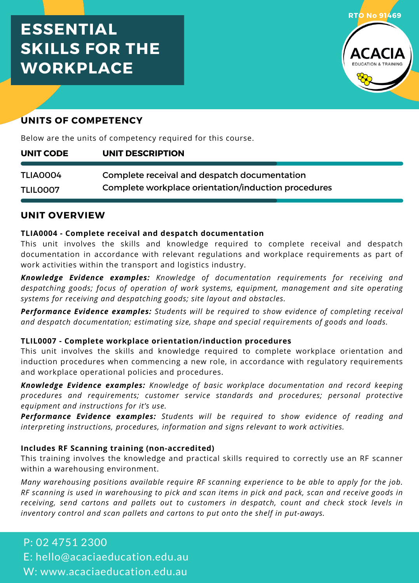# **ESSENTIAL SKILLS FOR THE WORKPLACE**



## **UNITS OF COMPETENCY**

Below are the units of competency required for this course.

| UNIT CODE       | UNIT DESCRIPTION                                    |
|-----------------|-----------------------------------------------------|
| TLIA0004        | Complete receival and despatch documentation        |
| <b>TLILOOO7</b> | Complete workplace orientation/induction procedures |

#### **UNIT OVERVIEW**

#### **TLIA0004 - Complete receival and despatch documentation**

This unit involves the skills and knowledge required to complete receival and despatch documentation in accordance with relevant regulations and workplace requirements as part of work activities within the transport and logistics industry.

*Knowledge Evidence examples: Knowledge of documentation requirements for receiving and despatching goods; focus of operation of work systems, equipment, management and site operating systems for receiving and despatching goods; site layout and obstacles.*

*Performance Evidence examples: Students will be required to show evidence of completing receival and despatch documentation; estimating size, shape and special requirements of goods and loads.*

#### **TLIL0007 - Complete workplace orientation/induction procedures**

This unit involves the skills and knowledge required to complete workplace orientation and induction procedures when commencing a new role, in accordance with regulatory requirements and workplace operational policies and procedures.

*Knowledge Evidence examples: Knowledge of basic workplace documentation and record keeping procedures and requirements; customer service standards and procedures; personal protective equipment and instructions for it's use.*

*Performance Evidence examples: Students will be required to show evidence of reading and interpreting instructions, procedures, information and signs relevant to work activities.*

#### **Includes RF Scanning training (non-accredited)**

This training involves the knowledge and practical skills required to correctly use an RF scanner within a warehousing environment.

*Many warehousing positions available require RF scanning experience to be able to apply for the job.* RF scanning is used in warehousing to pick and scan items in pick and pack, scan and receive goods in *receiving, send cartons and pallets out to customers in despatch, count and check stock levels in inventory control and scan pallets and cartons to put onto the shelf in put-aways.*

P: 02 4751 2300 E: hello@acaciaeducation.edu.au W: www.acaciaeducation.edu.au